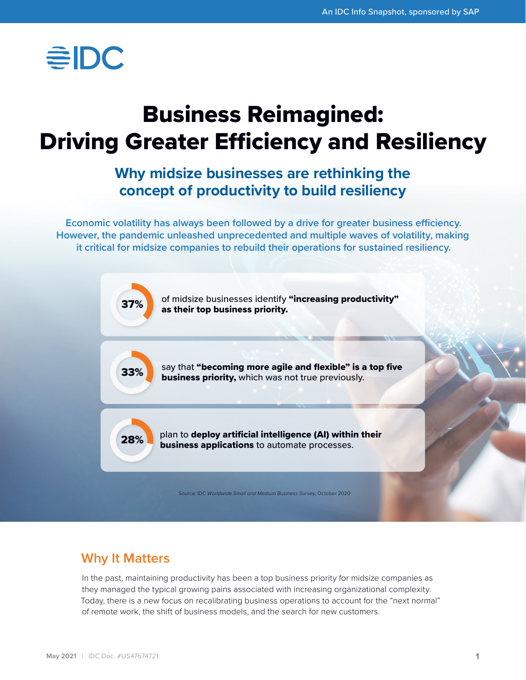

# Business Reimagined: Driving Greater Efficiency and Resiliency

## **Why midsize businesses are rethinking the concept of productivity to build resiliency**

**Economic volatility has always been followed by a drive for greater business efficiency. However, the pandemic unleashed unprecedented and multiple waves of volatility, making it critical for midsize companies to rebuild their operations for sustained resiliency.**



## **Why It Matters**

In the past, maintaining productivity has been a top business priority for midsize companies as they managed the typical growing pains associated with increasing organizational complexity. Today, there is a new focus on recalibrating business operations to account for the "next normal" of remote work, the shift of business models, and the search for new customers.